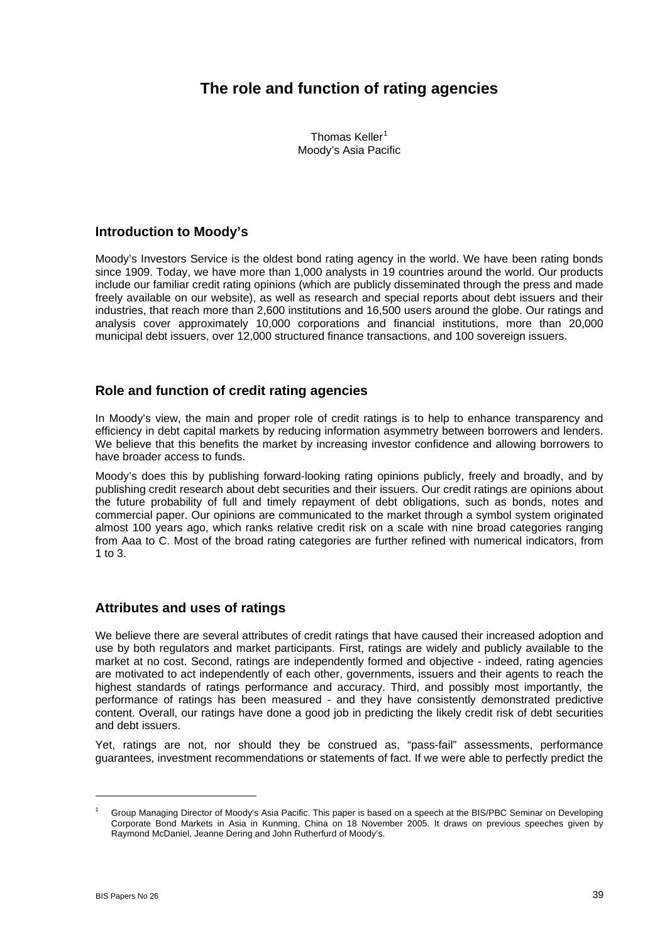# **The role and function of rating agencies**

Thomas Keller<sup>[1](#page-0-0)</sup> Moody's Asia Pacific

### **Introduction to Moody's**

Moody's Investors Service is the oldest bond rating agency in the world. We have been rating bonds since 1909. Today, we have more than 1,000 analysts in 19 countries around the world. Our products include our familiar credit rating opinions (which are publicly disseminated through the press and made freely available on our website), as well as research and special reports about debt issuers and their industries, that reach more than 2,600 institutions and 16,500 users around the globe. Our ratings and analysis cover approximately 10,000 corporations and financial institutions, more than 20,000 municipal debt issuers, over 12,000 structured finance transactions, and 100 sovereign issuers.

### **Role and function of credit rating agencies**

In Moody's view, the main and proper role of credit ratings is to help to enhance transparency and efficiency in debt capital markets by reducing information asymmetry between borrowers and lenders. We believe that this benefits the market by increasing investor confidence and allowing borrowers to have broader access to funds.

Moody's does this by publishing forward-looking rating opinions publicly, freely and broadly, and by publishing credit research about debt securities and their issuers. Our credit ratings are opinions about the future probability of full and timely repayment of debt obligations, such as bonds, notes and commercial paper. Our opinions are communicated to the market through a symbol system originated almost 100 years ago, which ranks relative credit risk on a scale with nine broad categories ranging from Aaa to C. Most of the broad rating categories are further refined with numerical indicators, from 1 to 3.

### **Attributes and uses of ratings**

We believe there are several attributes of credit ratings that have caused their increased adoption and use by both regulators and market participants. First, ratings are widely and publicly available to the market at no cost. Second, ratings are independently formed and objective - indeed, rating agencies are motivated to act independently of each other, governments, issuers and their agents to reach the highest standards of ratings performance and accuracy. Third, and possibly most importantly, the performance of ratings has been measured - and they have consistently demonstrated predictive content. Overall, our ratings have done a good job in predicting the likely credit risk of debt securities and debt issuers.

Yet, ratings are not, nor should they be construed as, "pass-fail" assessments, performance guarantees, investment recommendations or statements of fact. If we were able to perfectly predict the

-

<span id="page-0-0"></span><sup>1</sup> Group Managing Director of Moody's Asia Pacific. This paper is based on a speech at the BIS/PBC Seminar on Developing Corporate Bond Markets in Asia in Kunming, China on 18 November 2005. It draws on previous speeches given by Raymond McDaniel, Jeanne Dering and John Rutherfurd of Moody's.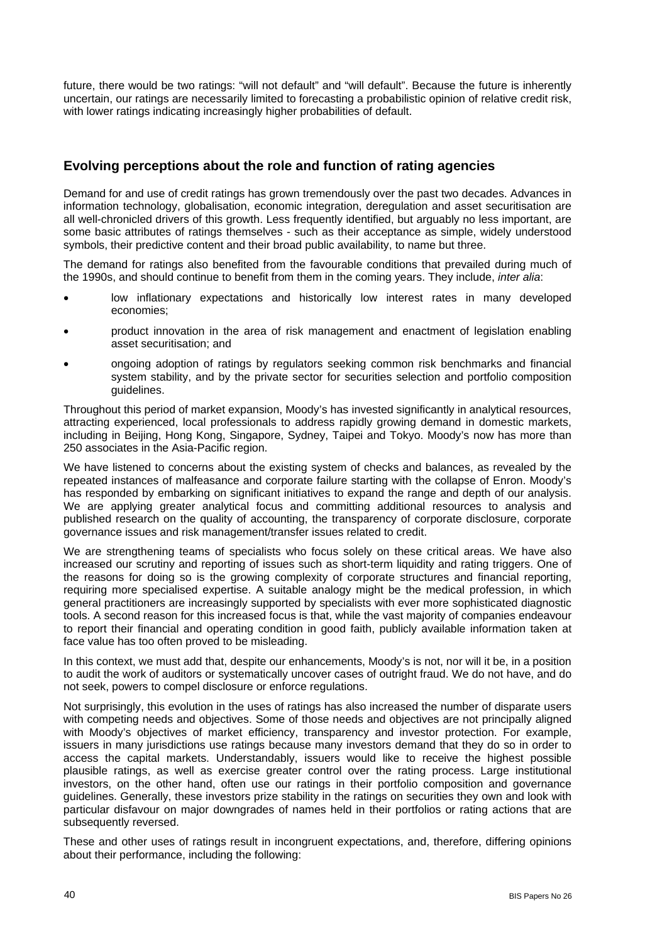future, there would be two ratings: "will not default" and "will default". Because the future is inherently uncertain, our ratings are necessarily limited to forecasting a probabilistic opinion of relative credit risk, with lower ratings indicating increasingly higher probabilities of default.

## **Evolving perceptions about the role and function of rating agencies**

Demand for and use of credit ratings has grown tremendously over the past two decades. Advances in information technology, globalisation, economic integration, deregulation and asset securitisation are all well-chronicled drivers of this growth. Less frequently identified, but arguably no less important, are some basic attributes of ratings themselves - such as their acceptance as simple, widely understood symbols, their predictive content and their broad public availability, to name but three.

The demand for ratings also benefited from the favourable conditions that prevailed during much of the 1990s, and should continue to benefit from them in the coming years. They include, *inter alia*:

- low inflationary expectations and historically low interest rates in many developed economies;
- product innovation in the area of risk management and enactment of legislation enabling asset securitisation; and
- ongoing adoption of ratings by regulators seeking common risk benchmarks and financial system stability, and by the private sector for securities selection and portfolio composition guidelines.

Throughout this period of market expansion, Moody's has invested significantly in analytical resources, attracting experienced, local professionals to address rapidly growing demand in domestic markets, including in Beijing, Hong Kong, Singapore, Sydney, Taipei and Tokyo. Moody's now has more than 250 associates in the Asia-Pacific region.

We have listened to concerns about the existing system of checks and balances, as revealed by the repeated instances of malfeasance and corporate failure starting with the collapse of Enron. Moody's has responded by embarking on significant initiatives to expand the range and depth of our analysis. We are applying greater analytical focus and committing additional resources to analysis and published research on the quality of accounting, the transparency of corporate disclosure, corporate governance issues and risk management/transfer issues related to credit.

We are strengthening teams of specialists who focus solely on these critical areas. We have also increased our scrutiny and reporting of issues such as short-term liquidity and rating triggers. One of the reasons for doing so is the growing complexity of corporate structures and financial reporting, requiring more specialised expertise. A suitable analogy might be the medical profession, in which general practitioners are increasingly supported by specialists with ever more sophisticated diagnostic tools. A second reason for this increased focus is that, while the vast majority of companies endeavour to report their financial and operating condition in good faith, publicly available information taken at face value has too often proved to be misleading.

In this context, we must add that, despite our enhancements, Moody's is not, nor will it be, in a position to audit the work of auditors or systematically uncover cases of outright fraud. We do not have, and do not seek, powers to compel disclosure or enforce regulations.

Not surprisingly, this evolution in the uses of ratings has also increased the number of disparate users with competing needs and objectives. Some of those needs and objectives are not principally aligned with Moody's objectives of market efficiency, transparency and investor protection. For example, issuers in many jurisdictions use ratings because many investors demand that they do so in order to access the capital markets. Understandably, issuers would like to receive the highest possible plausible ratings, as well as exercise greater control over the rating process. Large institutional investors, on the other hand, often use our ratings in their portfolio composition and governance guidelines. Generally, these investors prize stability in the ratings on securities they own and look with particular disfavour on major downgrades of names held in their portfolios or rating actions that are subsequently reversed.

These and other uses of ratings result in incongruent expectations, and, therefore, differing opinions about their performance, including the following: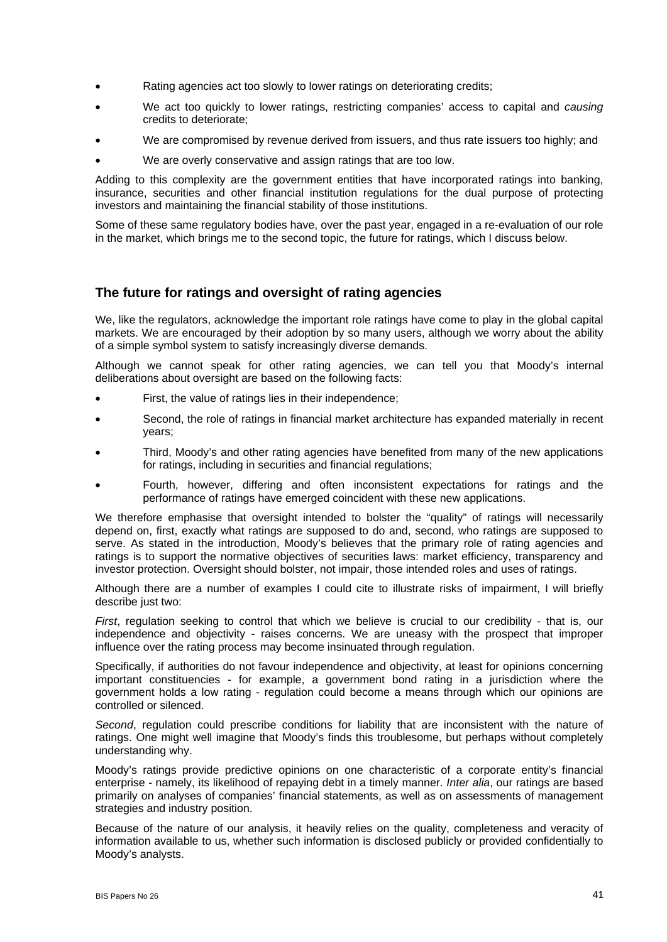- Rating agencies act too slowly to lower ratings on deteriorating credits;
- We act too quickly to lower ratings, restricting companies' access to capital and *causing* credits to deteriorate;
- We are compromised by revenue derived from issuers, and thus rate issuers too highly; and
- We are overly conservative and assign ratings that are too low.

Adding to this complexity are the government entities that have incorporated ratings into banking, insurance, securities and other financial institution regulations for the dual purpose of protecting investors and maintaining the financial stability of those institutions.

Some of these same regulatory bodies have, over the past year, engaged in a re-evaluation of our role in the market, which brings me to the second topic, the future for ratings, which I discuss below.

#### **The future for ratings and oversight of rating agencies**

We, like the regulators, acknowledge the important role ratings have come to play in the global capital markets. We are encouraged by their adoption by so many users, although we worry about the ability of a simple symbol system to satisfy increasingly diverse demands.

Although we cannot speak for other rating agencies, we can tell you that Moody's internal deliberations about oversight are based on the following facts:

- First, the value of ratings lies in their independence;
- Second, the role of ratings in financial market architecture has expanded materially in recent years;
- Third, Moody's and other rating agencies have benefited from many of the new applications for ratings, including in securities and financial regulations;
- Fourth, however, differing and often inconsistent expectations for ratings and the performance of ratings have emerged coincident with these new applications.

We therefore emphasise that oversight intended to bolster the "quality" of ratings will necessarily depend on, first, exactly what ratings are supposed to do and, second, who ratings are supposed to serve. As stated in the introduction, Moody's believes that the primary role of rating agencies and ratings is to support the normative objectives of securities laws: market efficiency, transparency and investor protection. Oversight should bolster, not impair, those intended roles and uses of ratings.

Although there are a number of examples I could cite to illustrate risks of impairment, I will briefly describe just two:

*First*, regulation seeking to control that which we believe is crucial to our credibility - that is, our independence and objectivity - raises concerns. We are uneasy with the prospect that improper influence over the rating process may become insinuated through regulation.

Specifically, if authorities do not favour independence and objectivity, at least for opinions concerning important constituencies - for example, a government bond rating in a jurisdiction where the government holds a low rating - regulation could become a means through which our opinions are controlled or silenced.

*Second*, regulation could prescribe conditions for liability that are inconsistent with the nature of ratings. One might well imagine that Moody's finds this troublesome, but perhaps without completely understanding why.

Moody's ratings provide predictive opinions on one characteristic of a corporate entity's financial enterprise - namely, its likelihood of repaying debt in a timely manner. *Inter alia*, our ratings are based primarily on analyses of companies' financial statements, as well as on assessments of management strategies and industry position.

Because of the nature of our analysis, it heavily relies on the quality, completeness and veracity of information available to us, whether such information is disclosed publicly or provided confidentially to Moody's analysts.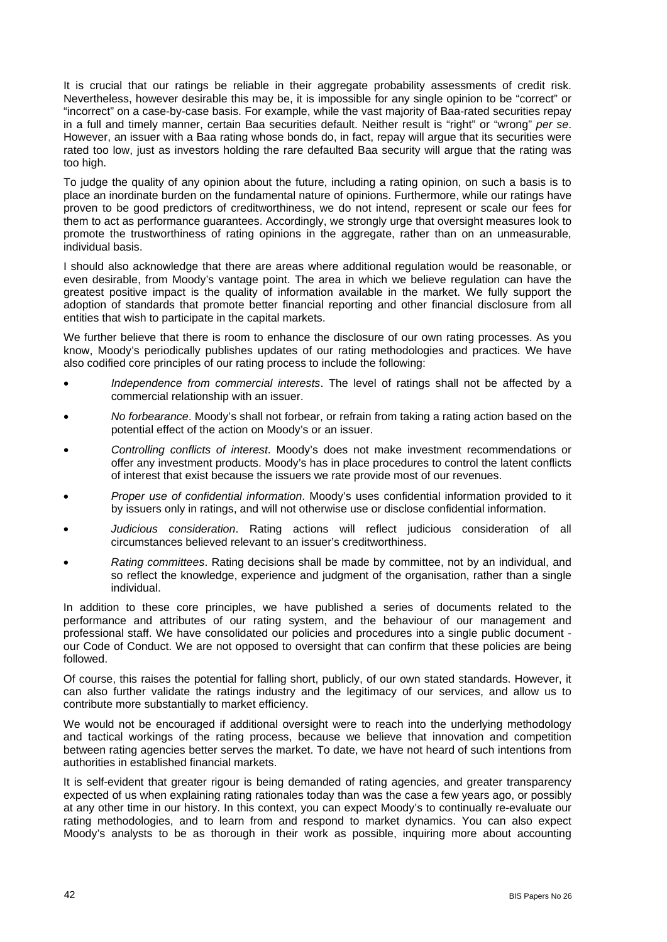It is crucial that our ratings be reliable in their aggregate probability assessments of credit risk. Nevertheless, however desirable this may be, it is impossible for any single opinion to be "correct" or "incorrect" on a case-by-case basis. For example, while the vast majority of Baa-rated securities repay in a full and timely manner, certain Baa securities default. Neither result is "right" or "wrong" *per se*. However, an issuer with a Baa rating whose bonds do, in fact, repay will argue that its securities were rated too low, just as investors holding the rare defaulted Baa security will argue that the rating was too high.

To judge the quality of any opinion about the future, including a rating opinion, on such a basis is to place an inordinate burden on the fundamental nature of opinions. Furthermore, while our ratings have proven to be good predictors of creditworthiness, we do not intend, represent or scale our fees for them to act as performance guarantees. Accordingly, we strongly urge that oversight measures look to promote the trustworthiness of rating opinions in the aggregate, rather than on an unmeasurable, individual basis.

I should also acknowledge that there are areas where additional regulation would be reasonable, or even desirable, from Moody's vantage point. The area in which we believe regulation can have the greatest positive impact is the quality of information available in the market. We fully support the adoption of standards that promote better financial reporting and other financial disclosure from all entities that wish to participate in the capital markets.

We further believe that there is room to enhance the disclosure of our own rating processes. As you know, Moody's periodically publishes updates of our rating methodologies and practices. We have also codified core principles of our rating process to include the following:

- *Independence from commercial interests*. The level of ratings shall not be affected by a commercial relationship with an issuer.
- *No forbearance*. Moody's shall not forbear, or refrain from taking a rating action based on the potential effect of the action on Moody's or an issuer.
- *Controlling conflicts of interest*. Moody's does not make investment recommendations or offer any investment products. Moody's has in place procedures to control the latent conflicts of interest that exist because the issuers we rate provide most of our revenues.
- *Proper use of confidential information*. Moody's uses confidential information provided to it by issuers only in ratings, and will not otherwise use or disclose confidential information.
- *Judicious consideration*. Rating actions will reflect judicious consideration of all circumstances believed relevant to an issuer's creditworthiness.
- *Rating committees*. Rating decisions shall be made by committee, not by an individual, and so reflect the knowledge, experience and judgment of the organisation, rather than a single individual.

In addition to these core principles, we have published a series of documents related to the performance and attributes of our rating system, and the behaviour of our management and professional staff. We have consolidated our policies and procedures into a single public document our Code of Conduct. We are not opposed to oversight that can confirm that these policies are being followed.

Of course, this raises the potential for falling short, publicly, of our own stated standards. However, it can also further validate the ratings industry and the legitimacy of our services, and allow us to contribute more substantially to market efficiency.

We would not be encouraged if additional oversight were to reach into the underlying methodology and tactical workings of the rating process, because we believe that innovation and competition between rating agencies better serves the market. To date, we have not heard of such intentions from authorities in established financial markets.

It is self-evident that greater rigour is being demanded of rating agencies, and greater transparency expected of us when explaining rating rationales today than was the case a few years ago, or possibly at any other time in our history. In this context, you can expect Moody's to continually re-evaluate our rating methodologies, and to learn from and respond to market dynamics. You can also expect Moody's analysts to be as thorough in their work as possible, inquiring more about accounting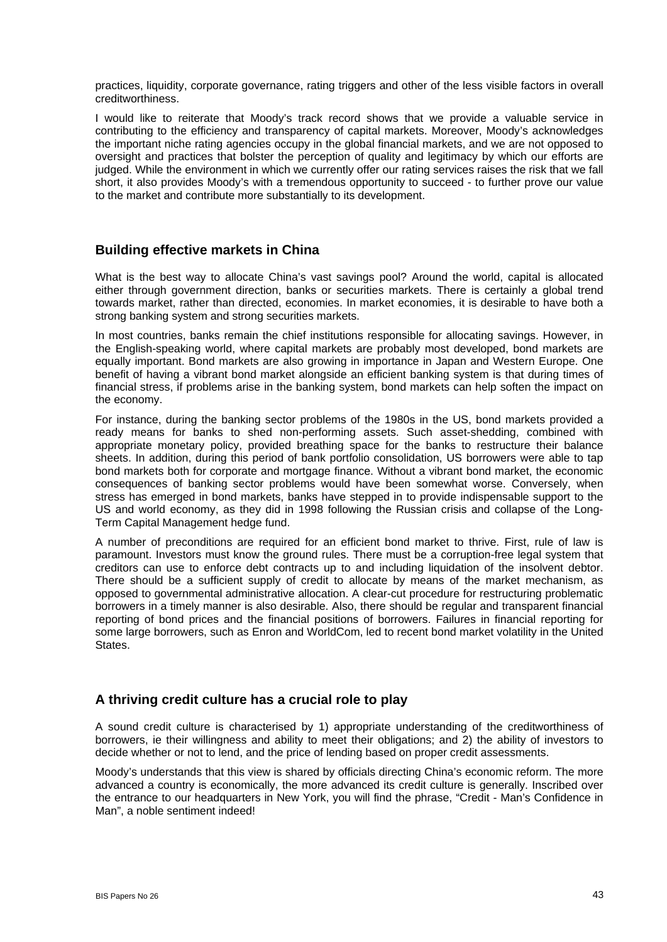practices, liquidity, corporate governance, rating triggers and other of the less visible factors in overall creditworthiness.

I would like to reiterate that Moody's track record shows that we provide a valuable service in contributing to the efficiency and transparency of capital markets. Moreover, Moody's acknowledges the important niche rating agencies occupy in the global financial markets, and we are not opposed to oversight and practices that bolster the perception of quality and legitimacy by which our efforts are judged. While the environment in which we currently offer our rating services raises the risk that we fall short, it also provides Moody's with a tremendous opportunity to succeed - to further prove our value to the market and contribute more substantially to its development.

### **Building effective markets in China**

What is the best way to allocate China's vast savings pool? Around the world, capital is allocated either through government direction, banks or securities markets. There is certainly a global trend towards market, rather than directed, economies. In market economies, it is desirable to have both a strong banking system and strong securities markets.

In most countries, banks remain the chief institutions responsible for allocating savings. However, in the English-speaking world, where capital markets are probably most developed, bond markets are equally important. Bond markets are also growing in importance in Japan and Western Europe. One benefit of having a vibrant bond market alongside an efficient banking system is that during times of financial stress, if problems arise in the banking system, bond markets can help soften the impact on the economy.

For instance, during the banking sector problems of the 1980s in the US, bond markets provided a ready means for banks to shed non-performing assets. Such asset-shedding, combined with appropriate monetary policy, provided breathing space for the banks to restructure their balance sheets. In addition, during this period of bank portfolio consolidation, US borrowers were able to tap bond markets both for corporate and mortgage finance. Without a vibrant bond market, the economic consequences of banking sector problems would have been somewhat worse. Conversely, when stress has emerged in bond markets, banks have stepped in to provide indispensable support to the US and world economy, as they did in 1998 following the Russian crisis and collapse of the Long-Term Capital Management hedge fund.

A number of preconditions are required for an efficient bond market to thrive. First, rule of law is paramount. Investors must know the ground rules. There must be a corruption-free legal system that creditors can use to enforce debt contracts up to and including liquidation of the insolvent debtor. There should be a sufficient supply of credit to allocate by means of the market mechanism, as opposed to governmental administrative allocation. A clear-cut procedure for restructuring problematic borrowers in a timely manner is also desirable. Also, there should be regular and transparent financial reporting of bond prices and the financial positions of borrowers. Failures in financial reporting for some large borrowers, such as Enron and WorldCom, led to recent bond market volatility in the United **States** 

### **A thriving credit culture has a crucial role to play**

A sound credit culture is characterised by 1) appropriate understanding of the creditworthiness of borrowers, ie their willingness and ability to meet their obligations; and 2) the ability of investors to decide whether or not to lend, and the price of lending based on proper credit assessments.

Moody's understands that this view is shared by officials directing China's economic reform. The more advanced a country is economically, the more advanced its credit culture is generally. Inscribed over the entrance to our headquarters in New York, you will find the phrase, "Credit - Man's Confidence in Man", a noble sentiment indeed!